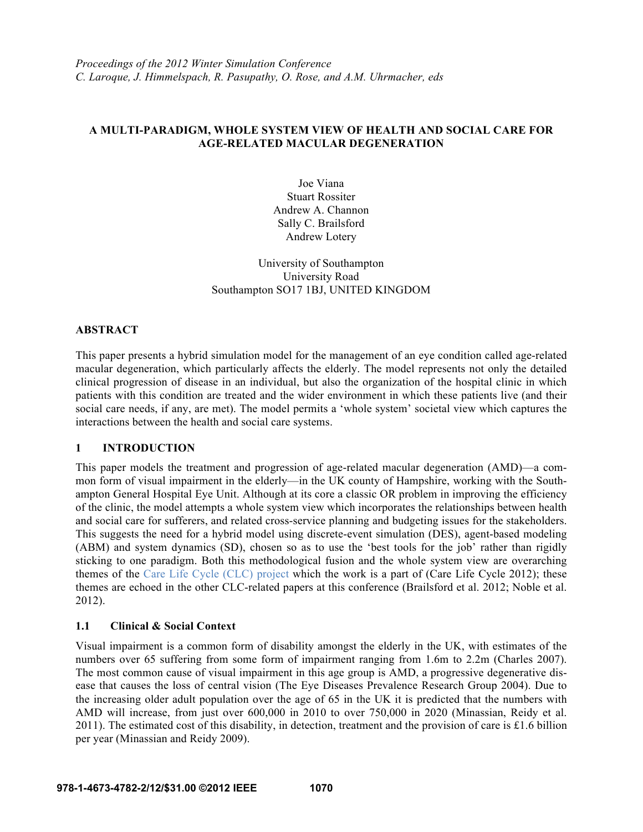# **A MULTI-PARADIGM, WHOLE SYSTEM VIEW OF HEALTH AND SOCIAL CARE FOR AGE-RELATED MACULAR DEGENERATION**

Joe Viana Stuart Rossiter Andrew A. Channon Sally C. Brailsford Andrew Lotery

University of Southampton University Road Southampton SO17 1BJ, UNITED KINGDOM

## **ABSTRACT**

This paper presents a hybrid simulation model for the management of an eye condition called age-related macular degeneration, which particularly affects the elderly. The model represents not only the detailed clinical progression of disease in an individual, but also the organization of the hospital clinic in which patients with this condition are treated and the wider environment in which these patients live (and their social care needs, if any, are met). The model permits a 'whole system' societal view which captures the interactions between the health and social care systems.

## **1 INTRODUCTION**

This paper models the treatment and progression of age-related macular degeneration (AMD)—a common form of visual impairment in the elderly—in the UK county of Hampshire, working with the Southampton General Hospital Eye Unit. Although at its core a classic OR problem in improving the efficiency of the clinic, the model attempts a whole system view which incorporates the relationships between health and social care for sufferers, and related cross-service planning and budgeting issues for the stakeholders. This suggests the need for a hybrid model using discrete-event simulation (DES), agent-based modeling (ABM) and system dynamics (SD), chosen so as to use the 'best tools for the job' rather than rigidly sticking to one paradigm. Both this methodological fusion and the whole system view are overarching themes of the Care Life Cycle (CLC) project which the work is a part of (Care Life Cycle 2012); these themes are echoed in the other CLC-related papers at this conference (Brailsford et al. 2012; Noble et al. 2012).

## **1.1 Clinical & Social Context**

Visual impairment is a common form of disability amongst the elderly in the UK, with estimates of the numbers over 65 suffering from some form of impairment ranging from 1.6m to 2.2m (Charles 2007). The most common cause of visual impairment in this age group is AMD, a progressive degenerative disease that causes the loss of central vision (The Eye Diseases Prevalence Research Group 2004). Due to the increasing older adult population over the age of 65 in the UK it is predicted that the numbers with AMD will increase, from just over 600,000 in 2010 to over 750,000 in 2020 (Minassian, Reidy et al. 2011). The estimated cost of this disability, in detection, treatment and the provision of care is £1.6 billion per year (Minassian and Reidy 2009).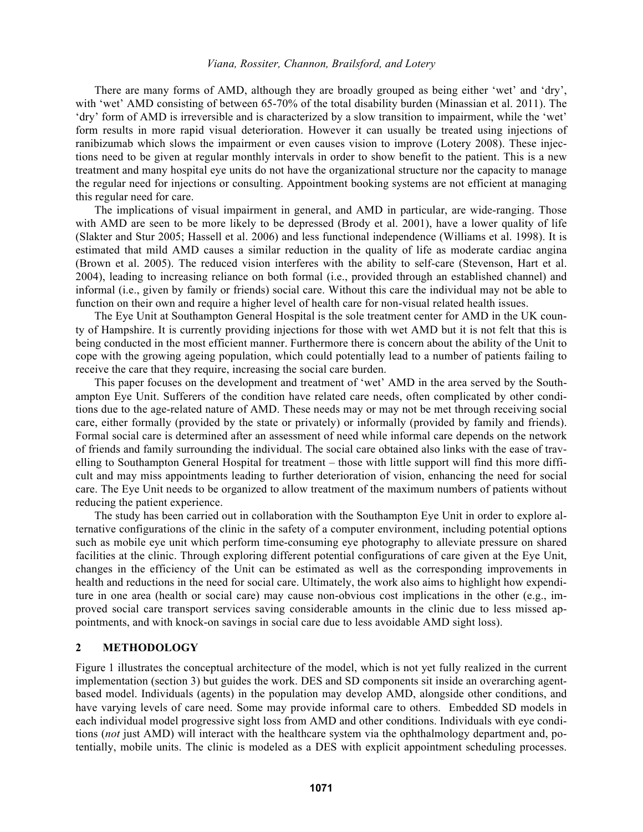There are many forms of AMD, although they are broadly grouped as being either 'wet' and 'dry', with 'wet' AMD consisting of between 65-70% of the total disability burden (Minassian et al. 2011). The 'dry' form of AMD is irreversible and is characterized by a slow transition to impairment, while the 'wet' form results in more rapid visual deterioration. However it can usually be treated using injections of ranibizumab which slows the impairment or even causes vision to improve (Lotery 2008). These injections need to be given at regular monthly intervals in order to show benefit to the patient. This is a new treatment and many hospital eye units do not have the organizational structure nor the capacity to manage the regular need for injections or consulting. Appointment booking systems are not efficient at managing this regular need for care.

The implications of visual impairment in general, and AMD in particular, are wide-ranging. Those with AMD are seen to be more likely to be depressed (Brody et al. 2001), have a lower quality of life (Slakter and Stur 2005; Hassell et al. 2006) and less functional independence (Williams et al. 1998). It is estimated that mild AMD causes a similar reduction in the quality of life as moderate cardiac angina (Brown et al. 2005). The reduced vision interferes with the ability to self-care (Stevenson, Hart et al. 2004), leading to increasing reliance on both formal (i.e., provided through an established channel) and informal (i.e., given by family or friends) social care. Without this care the individual may not be able to function on their own and require a higher level of health care for non-visual related health issues.

The Eye Unit at Southampton General Hospital is the sole treatment center for AMD in the UK county of Hampshire. It is currently providing injections for those with wet AMD but it is not felt that this is being conducted in the most efficient manner. Furthermore there is concern about the ability of the Unit to cope with the growing ageing population, which could potentially lead to a number of patients failing to receive the care that they require, increasing the social care burden.

This paper focuses on the development and treatment of 'wet' AMD in the area served by the Southampton Eye Unit. Sufferers of the condition have related care needs, often complicated by other conditions due to the age-related nature of AMD. These needs may or may not be met through receiving social care, either formally (provided by the state or privately) or informally (provided by family and friends). Formal social care is determined after an assessment of need while informal care depends on the network of friends and family surrounding the individual. The social care obtained also links with the ease of travelling to Southampton General Hospital for treatment – those with little support will find this more difficult and may miss appointments leading to further deterioration of vision, enhancing the need for social care. The Eye Unit needs to be organized to allow treatment of the maximum numbers of patients without reducing the patient experience.

The study has been carried out in collaboration with the Southampton Eye Unit in order to explore alternative configurations of the clinic in the safety of a computer environment, including potential options such as mobile eye unit which perform time-consuming eye photography to alleviate pressure on shared facilities at the clinic. Through exploring different potential configurations of care given at the Eye Unit, changes in the efficiency of the Unit can be estimated as well as the corresponding improvements in health and reductions in the need for social care. Ultimately, the work also aims to highlight how expenditure in one area (health or social care) may cause non-obvious cost implications in the other (e.g., improved social care transport services saving considerable amounts in the clinic due to less missed appointments, and with knock-on savings in social care due to less avoidable AMD sight loss).

### **2 METHODOLOGY**

Figure 1 illustrates the conceptual architecture of the model, which is not yet fully realized in the current implementation (section 3) but guides the work. DES and SD components sit inside an overarching agentbased model. Individuals (agents) in the population may develop AMD, alongside other conditions, and have varying levels of care need. Some may provide informal care to others. Embedded SD models in each individual model progressive sight loss from AMD and other conditions. Individuals with eye conditions (*not* just AMD) will interact with the healthcare system via the ophthalmology department and, potentially, mobile units. The clinic is modeled as a DES with explicit appointment scheduling processes.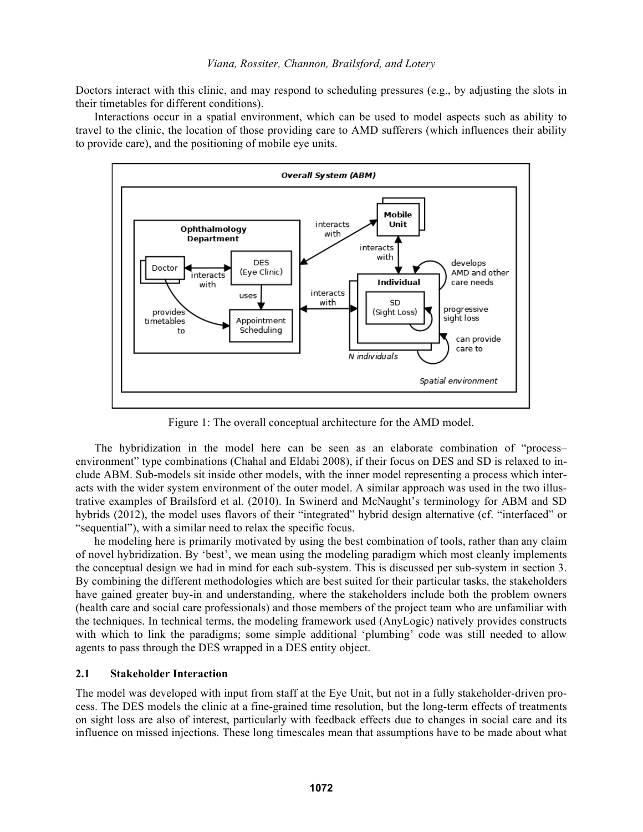Doctors interact with this clinic, and may respond to scheduling pressures (e.g., by adjusting the slots in their timetables for different conditions).

Interactions occur in a spatial environment, which can be used to model aspects such as ability to travel to the clinic, the location of those providing care to AMD sufferers (which influences their ability to provide care), and the positioning of mobile eye units.



Figure 1: The overall conceptual architecture for the AMD model.

The hybridization in the model here can be seen as an elaborate combination of "process– environment" type combinations (Chahal and Eldabi 2008), if their focus on DES and SD is relaxed to include ABM. Sub-models sit inside other models, with the inner model representing a process which interacts with the wider system environment of the outer model. A similar approach was used in the two illustrative examples of Brailsford et al. (2010). In Swinerd and McNaught's terminology for ABM and SD hybrids (2012), the model uses flavors of their "integrated" hybrid design alternative (cf. "interfaced" or "sequential"), with a similar need to relax the specific focus.

he modeling here is primarily motivated by using the best combination of tools, rather than any claim of novel hybridization. By 'best', we mean using the modeling paradigm which most cleanly implements the conceptual design we had in mind for each sub-system. This is discussed per sub-system in section 3. By combining the different methodologies which are best suited for their particular tasks, the stakeholders have gained greater buy-in and understanding, where the stakeholders include both the problem owners (health care and social care professionals) and those members of the project team who are unfamiliar with the techniques. In technical terms, the modeling framework used (AnyLogic) natively provides constructs with which to link the paradigms; some simple additional 'plumbing' code was still needed to allow agents to pass through the DES wrapped in a DES entity object.

### **2.1 Stakeholder Interaction**

The model was developed with input from staff at the Eye Unit, but not in a fully stakeholder-driven process. The DES models the clinic at a fine-grained time resolution, but the long-term effects of treatments on sight loss are also of interest, particularly with feedback effects due to changes in social care and its influence on missed injections. These long timescales mean that assumptions have to be made about what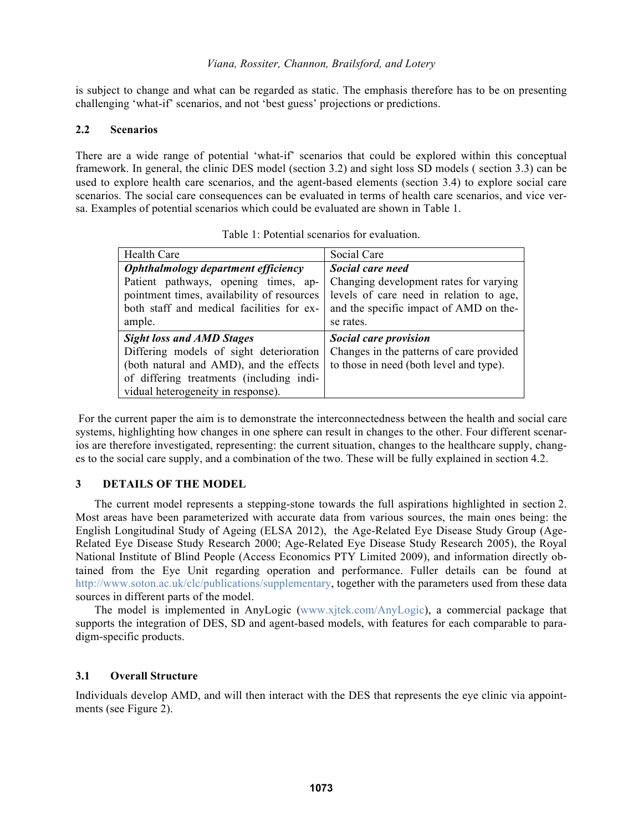is subject to change and what can be regarded as static. The emphasis therefore has to be on presenting challenging 'what-if' scenarios, and not 'best guess' projections or predictions.

## **2.2 Scenarios**

There are a wide range of potential 'what-if' scenarios that could be explored within this conceptual framework. In general, the clinic DES model (section 3.2) and sight loss SD models ( section 3.3) can be used to explore health care scenarios, and the agent-based elements (section 3.4) to explore social care scenarios. The social care consequences can be evaluated in terms of health care scenarios, and vice versa. Examples of potential scenarios which could be evaluated are shown in Table 1.

| Health Care                                | Social Care                              |
|--------------------------------------------|------------------------------------------|
| Ophthalmology department efficiency        | Social care need                         |
| Patient pathways, opening times, ap-       | Changing development rates for varying   |
| pointment times, availability of resources | levels of care need in relation to age,  |
| both staff and medical facilities for ex-  | and the specific impact of AMD on the-   |
| ample.                                     | se rates.                                |
| <b>Sight loss and AMD Stages</b>           | Social care provision                    |
| Differing models of sight deterioration    | Changes in the patterns of care provided |
| (both natural and AMD), and the effects    | to those in need (both level and type).  |
| of differing treatments (including indi-   |                                          |
| vidual heterogeneity in response).         |                                          |

Table 1: Potential scenarios for evaluation.

 For the current paper the aim is to demonstrate the interconnectedness between the health and social care systems, highlighting how changes in one sphere can result in changes to the other. Four different scenarios are therefore investigated, representing: the current situation, changes to the healthcare supply, changes to the social care supply, and a combination of the two. These will be fully explained in section 4.2.

## **3 DETAILS OF THE MODEL**

The current model represents a stepping-stone towards the full aspirations highlighted in section 2. Most areas have been parameterized with accurate data from various sources, the main ones being: the English Longitudinal Study of Ageing (ELSA 2012), the Age-Related Eye Disease Study Group (Age-Related Eye Disease Study Research 2000; Age-Related Eye Disease Study Research 2005), the Royal National Institute of Blind People (Access Economics PTY Limited 2009), and information directly obtained from the Eye Unit regarding operation and performance. Fuller details can be found at http://www.soton.ac.uk/clc/publications/supplementary, together with the parameters used from these data sources in different parts of the model.

The model is implemented in AnyLogic (www.xjtek.com/AnyLogic), a commercial package that supports the integration of DES, SD and agent-based models, with features for each comparable to paradigm-specific products.

## **3.1 Overall Structure**

Individuals develop AMD, and will then interact with the DES that represents the eye clinic via appointments (see Figure 2).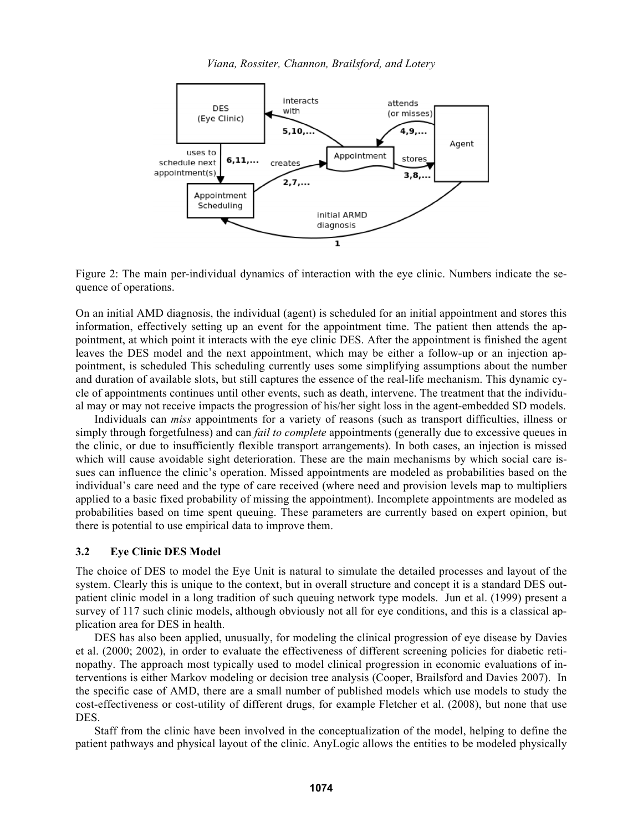

Figure 2: The main per-individual dynamics of interaction with the eye clinic. Numbers indicate the sequence of operations.

On an initial AMD diagnosis, the individual (agent) is scheduled for an initial appointment and stores this information, effectively setting up an event for the appointment time. The patient then attends the appointment, at which point it interacts with the eye clinic DES. After the appointment is finished the agent leaves the DES model and the next appointment, which may be either a follow-up or an injection appointment, is scheduled This scheduling currently uses some simplifying assumptions about the number and duration of available slots, but still captures the essence of the real-life mechanism. This dynamic cycle of appointments continues until other events, such as death, intervene. The treatment that the individual may or may not receive impacts the progression of his/her sight loss in the agent-embedded SD models.

Individuals can *miss* appointments for a variety of reasons (such as transport difficulties, illness or simply through forgetfulness) and can *fail to complete* appointments (generally due to excessive queues in the clinic, or due to insufficiently flexible transport arrangements). In both cases, an injection is missed which will cause avoidable sight deterioration. These are the main mechanisms by which social care issues can influence the clinic's operation. Missed appointments are modeled as probabilities based on the individual's care need and the type of care received (where need and provision levels map to multipliers applied to a basic fixed probability of missing the appointment). Incomplete appointments are modeled as probabilities based on time spent queuing. These parameters are currently based on expert opinion, but there is potential to use empirical data to improve them.

### **3.2 Eye Clinic DES Model**

The choice of DES to model the Eye Unit is natural to simulate the detailed processes and layout of the system. Clearly this is unique to the context, but in overall structure and concept it is a standard DES outpatient clinic model in a long tradition of such queuing network type models. Jun et al. (1999) present a survey of 117 such clinic models, although obviously not all for eye conditions, and this is a classical application area for DES in health.

DES has also been applied, unusually, for modeling the clinical progression of eye disease by Davies et al. (2000; 2002), in order to evaluate the effectiveness of different screening policies for diabetic retinopathy. The approach most typically used to model clinical progression in economic evaluations of interventions is either Markov modeling or decision tree analysis (Cooper, Brailsford and Davies 2007). In the specific case of AMD, there are a small number of published models which use models to study the cost-effectiveness or cost-utility of different drugs, for example Fletcher et al. (2008), but none that use DES.

Staff from the clinic have been involved in the conceptualization of the model, helping to define the patient pathways and physical layout of the clinic. AnyLogic allows the entities to be modeled physically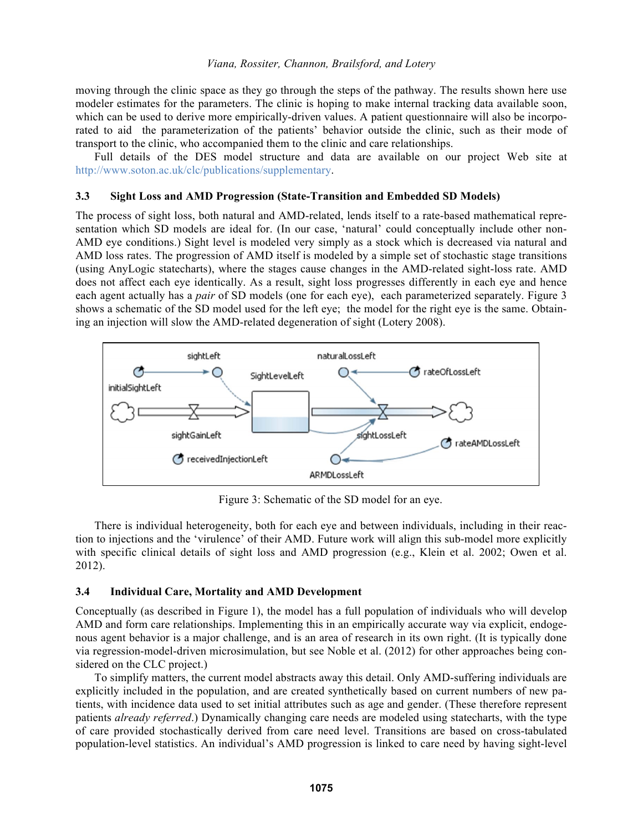moving through the clinic space as they go through the steps of the pathway. The results shown here use modeler estimates for the parameters. The clinic is hoping to make internal tracking data available soon, which can be used to derive more empirically-driven values. A patient questionnaire will also be incorporated to aid the parameterization of the patients' behavior outside the clinic, such as their mode of transport to the clinic, who accompanied them to the clinic and care relationships.

Full details of the DES model structure and data are available on our project Web site at http://www.soton.ac.uk/clc/publications/supplementary.

#### **3.3 Sight Loss and AMD Progression (State-Transition and Embedded SD Models)**

The process of sight loss, both natural and AMD-related, lends itself to a rate-based mathematical representation which SD models are ideal for. (In our case, 'natural' could conceptually include other non-AMD eye conditions.) Sight level is modeled very simply as a stock which is decreased via natural and AMD loss rates. The progression of AMD itself is modeled by a simple set of stochastic stage transitions (using AnyLogic statecharts), where the stages cause changes in the AMD-related sight-loss rate. AMD does not affect each eye identically. As a result, sight loss progresses differently in each eye and hence each agent actually has a *pair* of SD models (one for each eye), each parameterized separately. Figure 3 shows a schematic of the SD model used for the left eye; the model for the right eye is the same. Obtaining an injection will slow the AMD-related degeneration of sight (Lotery 2008).



Figure 3: Schematic of the SD model for an eye.

There is individual heterogeneity, both for each eye and between individuals, including in their reaction to injections and the 'virulence' of their AMD. Future work will align this sub-model more explicitly with specific clinical details of sight loss and AMD progression (e.g., Klein et al. 2002; Owen et al. 2012).

### **3.4 Individual Care, Mortality and AMD Development**

Conceptually (as described in Figure 1), the model has a full population of individuals who will develop AMD and form care relationships. Implementing this in an empirically accurate way via explicit, endogenous agent behavior is a major challenge, and is an area of research in its own right. (It is typically done via regression-model-driven microsimulation, but see Noble et al. (2012) for other approaches being considered on the CLC project.)

To simplify matters, the current model abstracts away this detail. Only AMD-suffering individuals are explicitly included in the population, and are created synthetically based on current numbers of new patients, with incidence data used to set initial attributes such as age and gender. (These therefore represent patients *already referred*.) Dynamically changing care needs are modeled using statecharts, with the type of care provided stochastically derived from care need level. Transitions are based on cross-tabulated population-level statistics. An individual's AMD progression is linked to care need by having sight-level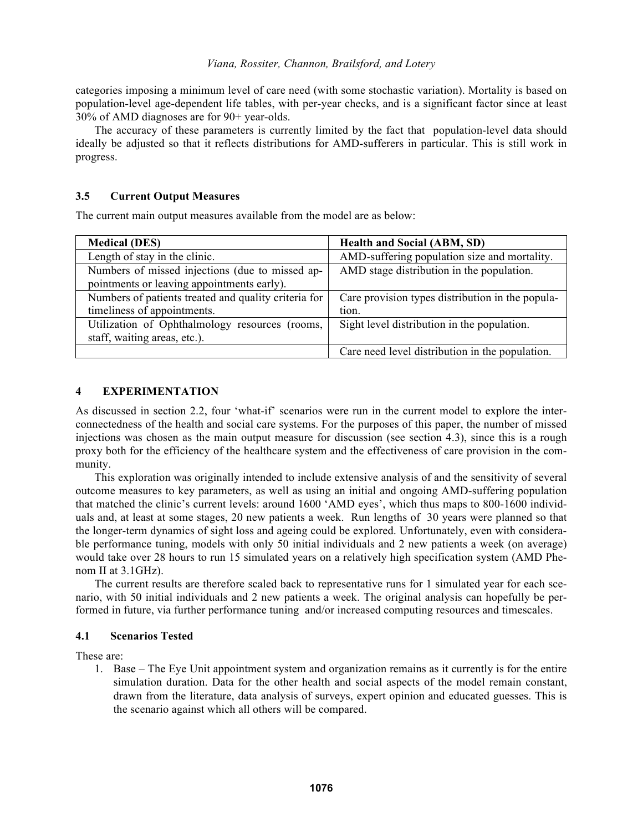categories imposing a minimum level of care need (with some stochastic variation). Mortality is based on population-level age-dependent life tables, with per-year checks, and is a significant factor since at least 30% of AMD diagnoses are for 90+ year-olds.

The accuracy of these parameters is currently limited by the fact that population-level data should ideally be adjusted so that it reflects distributions for AMD-sufferers in particular. This is still work in progress.

## **3.5 Current Output Measures**

The current main output measures available from the model are as below:

| <b>Medical (DES)</b>                                 | <b>Health and Social (ABM, SD)</b>               |  |
|------------------------------------------------------|--------------------------------------------------|--|
| Length of stay in the clinic.                        | AMD-suffering population size and mortality.     |  |
| Numbers of missed injections (due to missed ap-      | AMD stage distribution in the population.        |  |
| pointments or leaving appointments early).           |                                                  |  |
| Numbers of patients treated and quality criteria for | Care provision types distribution in the popula- |  |
| timeliness of appointments.                          | tion.                                            |  |
| Utilization of Ophthalmology resources (rooms,       | Sight level distribution in the population.      |  |
| staff, waiting areas, etc.).                         |                                                  |  |
|                                                      | Care need level distribution in the population.  |  |

# **4 EXPERIMENTATION**

As discussed in section 2.2, four 'what-if' scenarios were run in the current model to explore the interconnectedness of the health and social care systems. For the purposes of this paper, the number of missed injections was chosen as the main output measure for discussion (see section 4.3), since this is a rough proxy both for the efficiency of the healthcare system and the effectiveness of care provision in the community.

This exploration was originally intended to include extensive analysis of and the sensitivity of several outcome measures to key parameters, as well as using an initial and ongoing AMD-suffering population that matched the clinic's current levels: around 1600 'AMD eyes', which thus maps to 800-1600 individuals and, at least at some stages, 20 new patients a week. Run lengths of 30 years were planned so that the longer-term dynamics of sight loss and ageing could be explored. Unfortunately, even with considerable performance tuning, models with only 50 initial individuals and 2 new patients a week (on average) would take over 28 hours to run 15 simulated years on a relatively high specification system (AMD Phenom II at 3.1GHz).

The current results are therefore scaled back to representative runs for 1 simulated year for each scenario, with 50 initial individuals and 2 new patients a week. The original analysis can hopefully be performed in future, via further performance tuning and/or increased computing resources and timescales.

## **4.1 Scenarios Tested**

These are:

1. Base – The Eye Unit appointment system and organization remains as it currently is for the entire simulation duration. Data for the other health and social aspects of the model remain constant, drawn from the literature, data analysis of surveys, expert opinion and educated guesses. This is the scenario against which all others will be compared.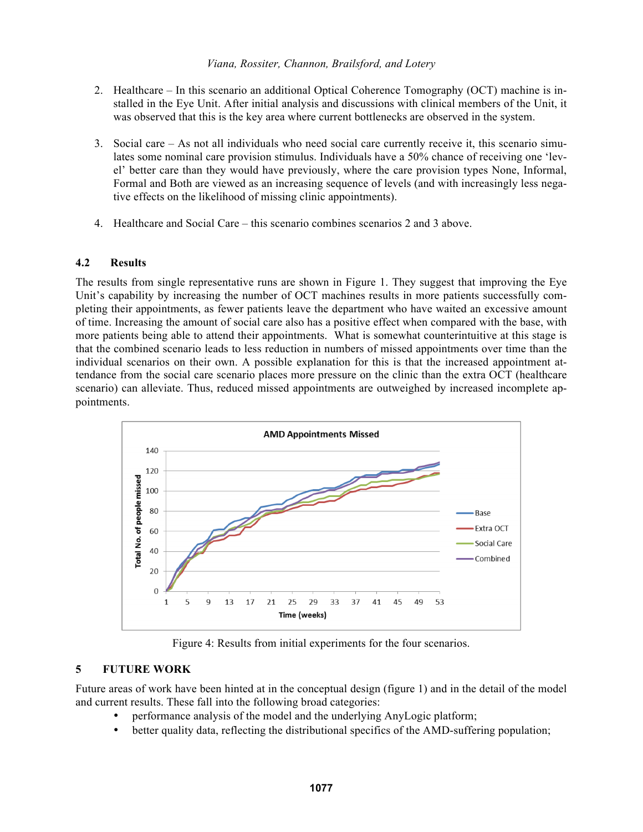- 2. Healthcare In this scenario an additional Optical Coherence Tomography (OCT) machine is installed in the Eye Unit. After initial analysis and discussions with clinical members of the Unit, it was observed that this is the key area where current bottlenecks are observed in the system.
- 3. Social care As not all individuals who need social care currently receive it, this scenario simulates some nominal care provision stimulus. Individuals have a 50% chance of receiving one 'level' better care than they would have previously, where the care provision types None, Informal, Formal and Both are viewed as an increasing sequence of levels (and with increasingly less negative effects on the likelihood of missing clinic appointments).
- 4. Healthcare and Social Care this scenario combines scenarios 2 and 3 above.

### **4.2 Results**

The results from single representative runs are shown in Figure 1. They suggest that improving the Eye Unit's capability by increasing the number of OCT machines results in more patients successfully completing their appointments, as fewer patients leave the department who have waited an excessive amount of time. Increasing the amount of social care also has a positive effect when compared with the base, with more patients being able to attend their appointments. What is somewhat counterintuitive at this stage is that the combined scenario leads to less reduction in numbers of missed appointments over time than the individual scenarios on their own. A possible explanation for this is that the increased appointment attendance from the social care scenario places more pressure on the clinic than the extra OCT (healthcare scenario) can alleviate. Thus, reduced missed appointments are outweighed by increased incomplete appointments.



Figure 4: Results from initial experiments for the four scenarios.

## **5 FUTURE WORK**

Future areas of work have been hinted at in the conceptual design (figure 1) and in the detail of the model and current results. These fall into the following broad categories:

- performance analysis of the model and the underlying AnyLogic platform;
- better quality data, reflecting the distributional specifics of the AMD-suffering population;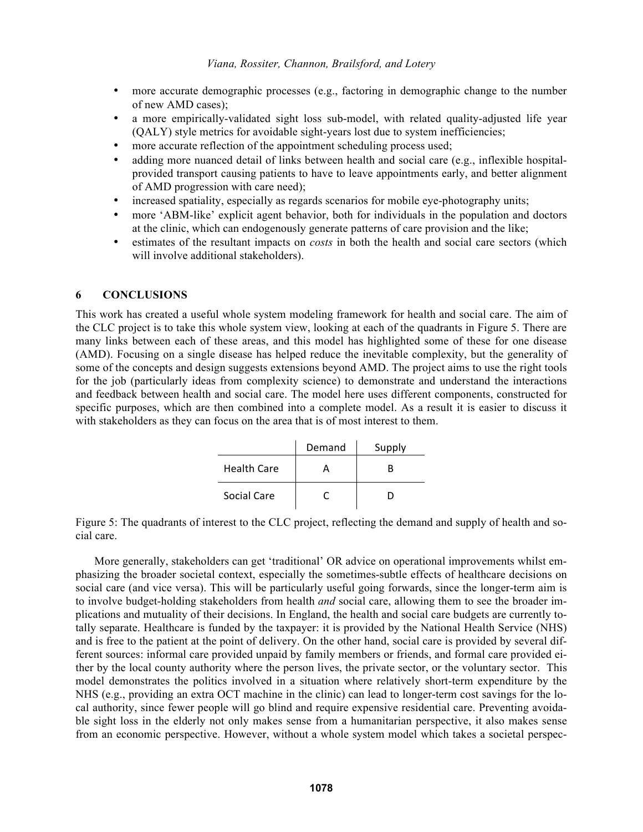- more accurate demographic processes (e.g., factoring in demographic change to the number of new AMD cases);
- a more empirically-validated sight loss sub-model, with related quality-adjusted life year (QALY) style metrics for avoidable sight-years lost due to system inefficiencies;
- more accurate reflection of the appointment scheduling process used;
- adding more nuanced detail of links between health and social care (e.g., inflexible hospitalprovided transport causing patients to have to leave appointments early, and better alignment of AMD progression with care need);
- increased spatiality, especially as regards scenarios for mobile eye-photography units;
- more 'ABM-like' explicit agent behavior, both for individuals in the population and doctors at the clinic, which can endogenously generate patterns of care provision and the like;
- estimates of the resultant impacts on *costs* in both the health and social care sectors (which will involve additional stakeholders).

# **6 CONCLUSIONS**

This work has created a useful whole system modeling framework for health and social care. The aim of the CLC project is to take this whole system view, looking at each of the quadrants in Figure 5. There are many links between each of these areas, and this model has highlighted some of these for one disease (AMD). Focusing on a single disease has helped reduce the inevitable complexity, but the generality of some of the concepts and design suggests extensions beyond AMD. The project aims to use the right tools for the job (particularly ideas from complexity science) to demonstrate and understand the interactions and feedback between health and social care. The model here uses different components, constructed for specific purposes, which are then combined into a complete model. As a result it is easier to discuss it with stakeholders as they can focus on the area that is of most interest to them.

|                    | Demand | Supply |
|--------------------|--------|--------|
| <b>Health Care</b> |        |        |
| Social Care        |        |        |

Figure 5: The quadrants of interest to the CLC project, reflecting the demand and supply of health and social care.

More generally, stakeholders can get 'traditional' OR advice on operational improvements whilst emphasizing the broader societal context, especially the sometimes-subtle effects of healthcare decisions on social care (and vice versa). This will be particularly useful going forwards, since the longer-term aim is to involve budget-holding stakeholders from health *and* social care, allowing them to see the broader implications and mutuality of their decisions. In England, the health and social care budgets are currently totally separate. Healthcare is funded by the taxpayer: it is provided by the National Health Service (NHS) and is free to the patient at the point of delivery. On the other hand, social care is provided by several different sources: informal care provided unpaid by family members or friends, and formal care provided either by the local county authority where the person lives, the private sector, or the voluntary sector. This model demonstrates the politics involved in a situation where relatively short-term expenditure by the NHS (e.g., providing an extra OCT machine in the clinic) can lead to longer-term cost savings for the local authority, since fewer people will go blind and require expensive residential care. Preventing avoidable sight loss in the elderly not only makes sense from a humanitarian perspective, it also makes sense from an economic perspective. However, without a whole system model which takes a societal perspec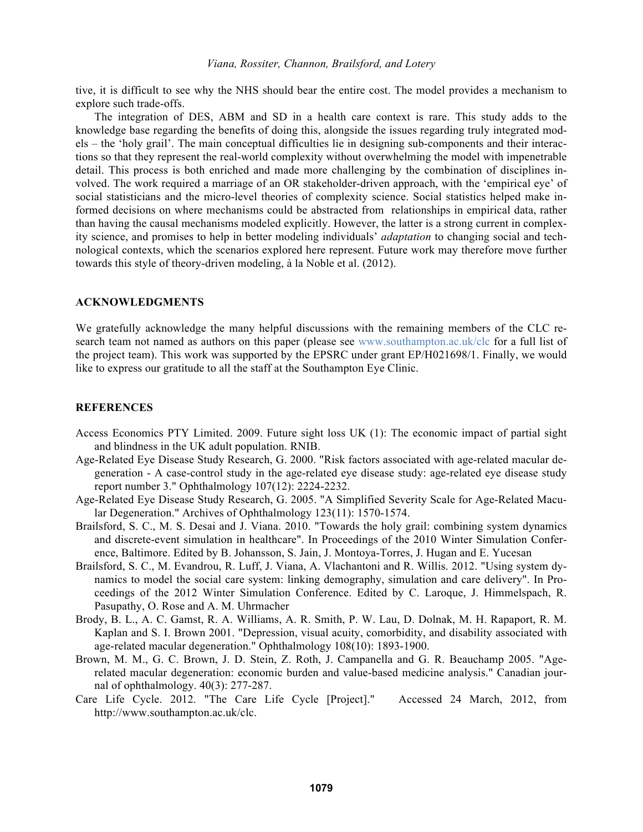tive, it is difficult to see why the NHS should bear the entire cost. The model provides a mechanism to explore such trade-offs.

The integration of DES, ABM and SD in a health care context is rare. This study adds to the knowledge base regarding the benefits of doing this, alongside the issues regarding truly integrated models – the 'holy grail'. The main conceptual difficulties lie in designing sub-components and their interactions so that they represent the real-world complexity without overwhelming the model with impenetrable detail. This process is both enriched and made more challenging by the combination of disciplines involved. The work required a marriage of an OR stakeholder-driven approach, with the 'empirical eye' of social statisticians and the micro-level theories of complexity science. Social statistics helped make informed decisions on where mechanisms could be abstracted from relationships in empirical data, rather than having the causal mechanisms modeled explicitly. However, the latter is a strong current in complexity science, and promises to help in better modeling individuals' *adaptation* to changing social and technological contexts, which the scenarios explored here represent. Future work may therefore move further towards this style of theory-driven modeling, à la Noble et al. (2012).

#### **ACKNOWLEDGMENTS**

We gratefully acknowledge the many helpful discussions with the remaining members of the CLC research team not named as authors on this paper (please see www.southampton.ac.uk/clc for a full list of the project team). This work was supported by the EPSRC under grant EP/H021698/1. Finally, we would like to express our gratitude to all the staff at the Southampton Eye Clinic.

### **REFERENCES**

- Access Economics PTY Limited. 2009. Future sight loss UK (1): The economic impact of partial sight and blindness in the UK adult population. RNIB.
- Age-Related Eye Disease Study Research, G. 2000. "Risk factors associated with age-related macular degeneration - A case-control study in the age-related eye disease study: age-related eye disease study report number 3." Ophthalmology 107(12): 2224-2232.
- Age-Related Eye Disease Study Research, G. 2005. "A Simplified Severity Scale for Age-Related Macular Degeneration." Archives of Ophthalmology 123(11): 1570-1574.
- Brailsford, S. C., M. S. Desai and J. Viana. 2010. "Towards the holy grail: combining system dynamics and discrete-event simulation in healthcare". In Proceedings of the 2010 Winter Simulation Conference, Baltimore. Edited by B. Johansson, S. Jain, J. Montoya-Torres, J. Hugan and E. Yucesan
- Brailsford, S. C., M. Evandrou, R. Luff, J. Viana, A. Vlachantoni and R. Willis. 2012. "Using system dynamics to model the social care system: linking demography, simulation and care delivery". In Proceedings of the 2012 Winter Simulation Conference. Edited by C. Laroque, J. Himmelspach, R. Pasupathy, O. Rose and A. M. Uhrmacher
- Brody, B. L., A. C. Gamst, R. A. Williams, A. R. Smith, P. W. Lau, D. Dolnak, M. H. Rapaport, R. M. Kaplan and S. I. Brown 2001. "Depression, visual acuity, comorbidity, and disability associated with age-related macular degeneration." Ophthalmology 108(10): 1893-1900.
- Brown, M. M., G. C. Brown, J. D. Stein, Z. Roth, J. Campanella and G. R. Beauchamp 2005. "Agerelated macular degeneration: economic burden and value-based medicine analysis." Canadian journal of ophthalmology. 40(3): 277-287.
- Care Life Cycle. 2012. "The Care Life Cycle [Project]." Accessed 24 March, 2012, from http://www.southampton.ac.uk/clc.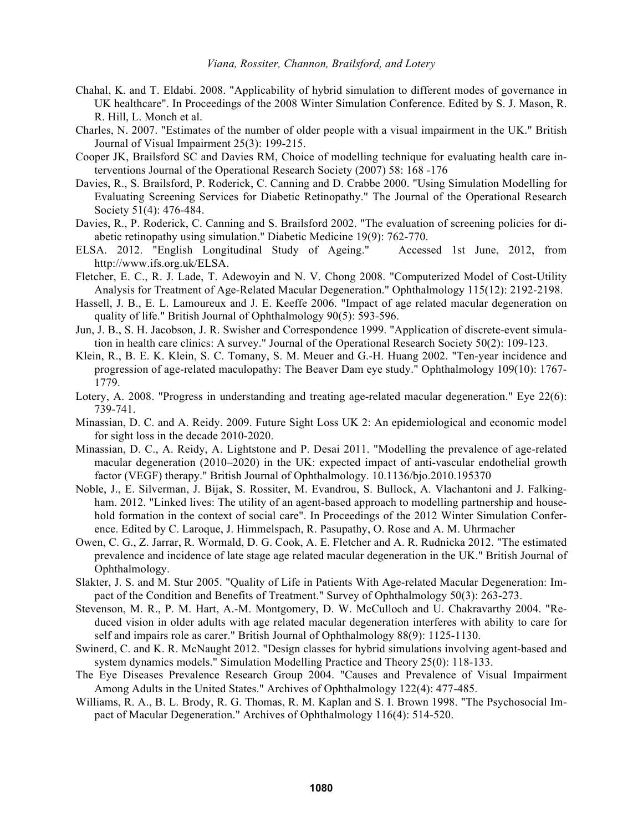- Chahal, K. and T. Eldabi. 2008. "Applicability of hybrid simulation to different modes of governance in UK healthcare". In Proceedings of the 2008 Winter Simulation Conference. Edited by S. J. Mason, R. R. Hill, L. Monch et al.
- Charles, N. 2007. "Estimates of the number of older people with a visual impairment in the UK." British Journal of Visual Impairment 25(3): 199-215.
- Cooper JK, Brailsford SC and Davies RM, Choice of modelling technique for evaluating health care interventions Journal of the Operational Research Society (2007) 58: 168 -176
- Davies, R., S. Brailsford, P. Roderick, C. Canning and D. Crabbe 2000. "Using Simulation Modelling for Evaluating Screening Services for Diabetic Retinopathy." The Journal of the Operational Research Society 51(4): 476-484.
- Davies, R., P. Roderick, C. Canning and S. Brailsford 2002. "The evaluation of screening policies for diabetic retinopathy using simulation." Diabetic Medicine 19(9): 762-770.
- ELSA. 2012. "English Longitudinal Study of Ageing." Accessed 1st June, 2012, from http://www.ifs.org.uk/ELSA.
- Fletcher, E. C., R. J. Lade, T. Adewoyin and N. V. Chong 2008. "Computerized Model of Cost-Utility Analysis for Treatment of Age-Related Macular Degeneration." Ophthalmology 115(12): 2192-2198.
- Hassell, J. B., E. L. Lamoureux and J. E. Keeffe 2006. "Impact of age related macular degeneration on quality of life." British Journal of Ophthalmology 90(5): 593-596.
- Jun, J. B., S. H. Jacobson, J. R. Swisher and Correspondence 1999. "Application of discrete-event simulation in health care clinics: A survey." Journal of the Operational Research Society 50(2): 109-123.
- Klein, R., B. E. K. Klein, S. C. Tomany, S. M. Meuer and G.-H. Huang 2002. "Ten-year incidence and progression of age-related maculopathy: The Beaver Dam eye study." Ophthalmology 109(10): 1767- 1779.
- Lotery, A. 2008. "Progress in understanding and treating age-related macular degeneration." Eye 22(6): 739-741.
- Minassian, D. C. and A. Reidy. 2009. Future Sight Loss UK 2: An epidemiological and economic model for sight loss in the decade 2010-2020.
- Minassian, D. C., A. Reidy, A. Lightstone and P. Desai 2011. "Modelling the prevalence of age-related macular degeneration (2010–2020) in the UK: expected impact of anti-vascular endothelial growth factor (VEGF) therapy." British Journal of Ophthalmology. 10.1136/bjo.2010.195370
- Noble, J., E. Silverman, J. Bijak, S. Rossiter, M. Evandrou, S. Bullock, A. Vlachantoni and J. Falkingham. 2012. "Linked lives: The utility of an agent-based approach to modelling partnership and household formation in the context of social care". In Proceedings of the 2012 Winter Simulation Conference. Edited by C. Laroque, J. Himmelspach, R. Pasupathy, O. Rose and A. M. Uhrmacher
- Owen, C. G., Z. Jarrar, R. Wormald, D. G. Cook, A. E. Fletcher and A. R. Rudnicka 2012. "The estimated prevalence and incidence of late stage age related macular degeneration in the UK." British Journal of Ophthalmology.
- Slakter, J. S. and M. Stur 2005. "Quality of Life in Patients With Age-related Macular Degeneration: Impact of the Condition and Benefits of Treatment." Survey of Ophthalmology 50(3): 263-273.
- Stevenson, M. R., P. M. Hart, A.-M. Montgomery, D. W. McCulloch and U. Chakravarthy 2004. "Reduced vision in older adults with age related macular degeneration interferes with ability to care for self and impairs role as carer." British Journal of Ophthalmology 88(9): 1125-1130.
- Swinerd, C. and K. R. McNaught 2012. "Design classes for hybrid simulations involving agent-based and system dynamics models." Simulation Modelling Practice and Theory 25(0): 118-133.
- The Eye Diseases Prevalence Research Group 2004. "Causes and Prevalence of Visual Impairment Among Adults in the United States." Archives of Ophthalmology 122(4): 477-485.
- Williams, R. A., B. L. Brody, R. G. Thomas, R. M. Kaplan and S. I. Brown 1998. "The Psychosocial Impact of Macular Degeneration." Archives of Ophthalmology 116(4): 514-520.